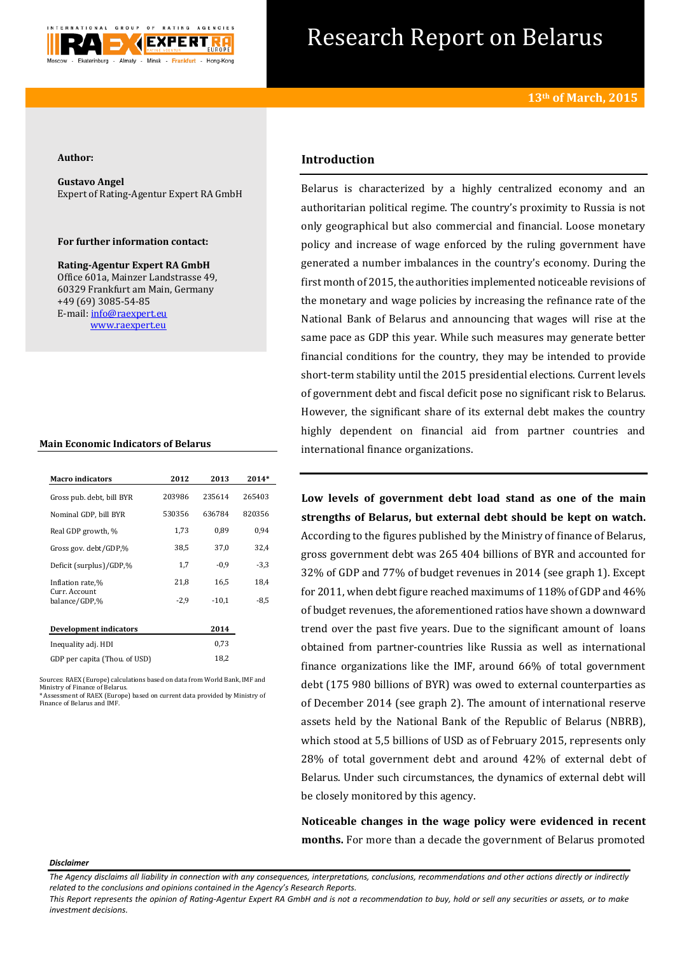

# Research Report on Belarus

## **Author:**

**Gustavo Angel** Expert of Rating-Agentur Expert RA GmbH

# **For further information contact:**

**Rating-Agentur Expert RA GmbH** Office 601a, Mainzer Landstrasse 49, 60329 Frankfurt am Main, Germany +49 (69) 3085-54-85 E-mail[: info@raexpert.eu](mailto:info@raexpert.eu) [www.raexpert.eu](http://raexpert.eu/)

### **Main Economic Indicators of Belarus**

| <b>Macro indicators</b>        | 2012   | 2013    | $2014*$ |
|--------------------------------|--------|---------|---------|
| Gross pub. debt, bill BYR      | 203986 | 235614  | 265403  |
| Nominal GDP, bill BYR          | 530356 | 636784  | 820356  |
| Real GDP growth, %             | 1,73   | 0,89    | 0,94    |
| Gross gov. debt/GDP,%          | 38,5   | 37.0    | 32,4    |
| Deficit (surplus)/GDP,%        | 1,7    | $-0.9$  | $-3,3$  |
| Inflation rate,%               | 21,8   | 16,5    | 18,4    |
| Curr. Account<br>balance/GDP,% | $-2,9$ | $-10.1$ | $-8,5$  |
| <b>Development indicators</b>  |        | 2014    |         |
| Inequality adj. HDI            |        | 0,73    |         |
| GDP per capita (Thou. of USD)  |        | 18,2    |         |

Sources: RAEX (Europe) calculations based on data from World Bank, IMF and Ministry of Finance of Belarus. \* Assessment of RAEX (Europe) based on current data provided by Ministry of Finance of Belarus and IMF.

# **Introduction**

Belarus is characterized by a highly centralized economy and an authoritarian political regime. The country's proximity to Russia is not only geographical but also commercial and financial. Loose monetary policy and increase of wage enforced by the ruling government have generated a number imbalances in the country's economy. During the first month of 2015, the authorities implemented noticeable revisions of the monetary and wage policies by increasing the refinance rate of the National Bank of Belarus and announcing that wages will rise at the same pace as GDP this year. While such measures may generate better financial conditions for the country, they may be intended to provide short-term stability until the 2015 presidential elections. Current levels of government debt and fiscal deficit pose no significant risk to Belarus. However, the significant share of its external debt makes the country highly dependent on financial aid from partner countries and international finance organizations.

**Low levels of government debt load stand as one of the main strengths of Belarus, but external debt should be kept on watch.** According to the figures published by the Ministry of finance of Belarus, gross government debt was 265 404 billions of BYR and accounted for 32% of GDP and 77% of budget revenues in 2014 (see graph 1). Except for 2011, when debt figure reached maximums of 118% of GDP and 46% of budget revenues, the aforementioned ratios have shown a downward trend over the past five years. Due to the significant amount of loans obtained from partner-countries like Russia as well as international finance organizations like the IMF, around 66% of total government debt (175 980 billions of BYR) was owed to external counterparties as of December 2014 (see graph 2). The amount of international reserve assets held by the National Bank of the Republic of Belarus (NBRB), which stood at 5,5 billions of USD as of February 2015, represents only 28% of total government debt and around 42% of external debt of Belarus. Under such circumstances, the dynamics of external debt will be closely monitored by this agency.

**Noticeable changes in the wage policy were evidenced in recent months.** For more than a decade the government of Belarus promoted

#### *Disclaimer*

*The Agency disclaims all liability in connection with any consequences, interpretations, conclusions, recommendations and other actions directly or indirectly related to the conclusions and opinions contained in the Agency's Research Reports.* 

*This Report represents the opinion of Rating-Agentur Expert RA GmbH and is not a recommendation to buy, hold or sell any securities or assets, or to make investment decisions.*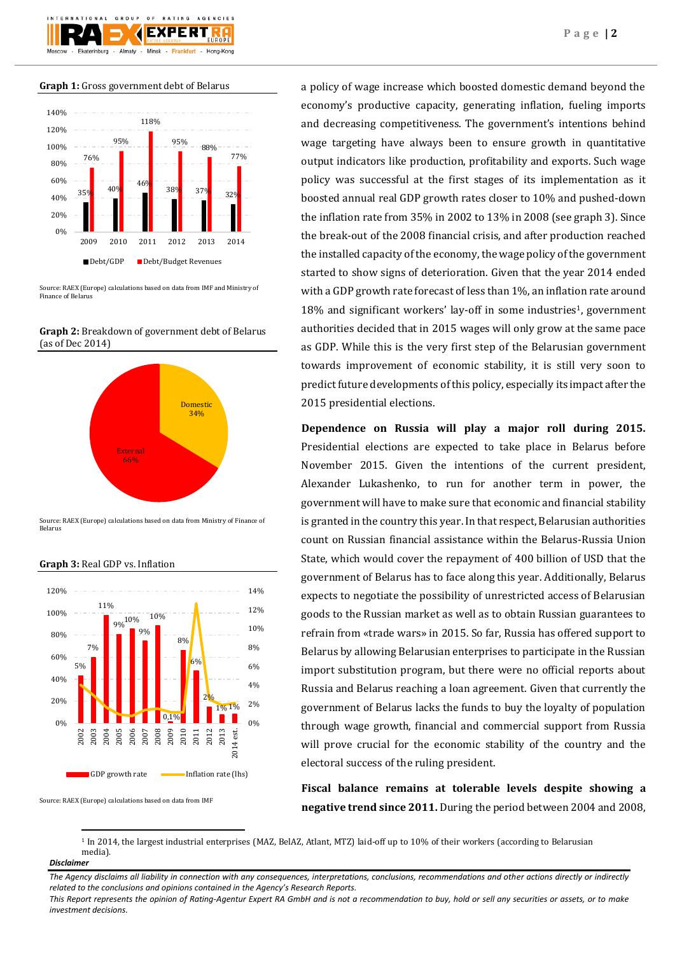

**Graph 1:** Gross government debt of Belarus



Source: RAEX (Europe) calculations based on data from IMF and Ministry of Finance of Belarus

**Graph 2:** Breakdown of government debt of Belarus (as of Dec 2014)



Source: RAEX (Europe) calculations based on data from Ministry of Finance of Belarus



**Graph 3:** Real GDP vs. Inflation

Source: RAEX (Europe) calculations based on data from IMF

a policy of wage increase which boosted domestic demand beyond the economy's productive capacity, generating inflation, fueling imports and decreasing competitiveness. The government's intentions behind wage targeting have always been to ensure growth in quantitative output indicators like production, profitability and exports. Such wage policy was successful at the first stages of its implementation as it boosted annual real GDP growth rates closer to 10% and pushed-down the inflation rate from 35% in 2002 to 13% in 2008 (see graph 3). Since the break-out of the 2008 financial crisis, and after production reached the installed capacity of the economy, the wage policy of the government started to show signs of deterioration. Given that the year 2014 ended with a GDP growth rate forecast of less than 1%, an inflation rate around 18% and significant workers' lay-off in some industries<sup>1</sup>, government authorities decided that in 2015 wages will only grow at the same pace as GDP. While this is the very first step of the Belarusian government towards improvement of economic stability, it is still very soon to predict future developments of this policy, especially its impact after the 2015 presidential elections.

**Dependence on Russia will play a major roll during 2015.** Presidential elections are expected to take place in Belarus before November 2015. Given the intentions of the current president, Alexander Lukashenko, to run for another term in power, the government will have to make sure that economic and financial stability is granted in the country this year. In that respect, Belarusian authorities count on Russian financial assistance within the Belarus-Russia Union State, which would cover the repayment of 400 billion of USD that the government of Belarus has to face along this year. Additionally, Belarus expects to negotiate the possibility of unrestricted access of Belarusian goods to the Russian market as well as to obtain Russian guarantees to refrain from «trade wars» in 2015. So far, Russia has offered support to Belarus by allowing Belarusian enterprises to participate in the Russian import substitution program, but there were no official reports about Russia and Belarus reaching a loan agreement. Given that currently the government of Belarus lacks the funds to buy the loyalty of population through wage growth, financial and commercial support from Russia will prove crucial for the economic stability of the country and the electoral success of the ruling president.

**Fiscal balance remains at tolerable levels despite showing a negative trend since 2011.** During the period between 2004 and 2008,

<sup>1</sup> In 2014, the largest industrial enterprises (MAZ, BelAZ, Atlant, MTZ) laid-off up to 10% of their workers (according to Belarusian media).

#### *Disclaimer*

**.** 

*The Agency disclaims all liability in connection with any consequences, interpretations, conclusions, recommendations and other actions directly or indirectly related to the conclusions and opinions contained in the Agency's Research Reports.*

*This Report represents the opinion of Rating-Agentur Expert RA GmbH and is not a recommendation to buy, hold or sell any securities or assets, or to make investment decisions.*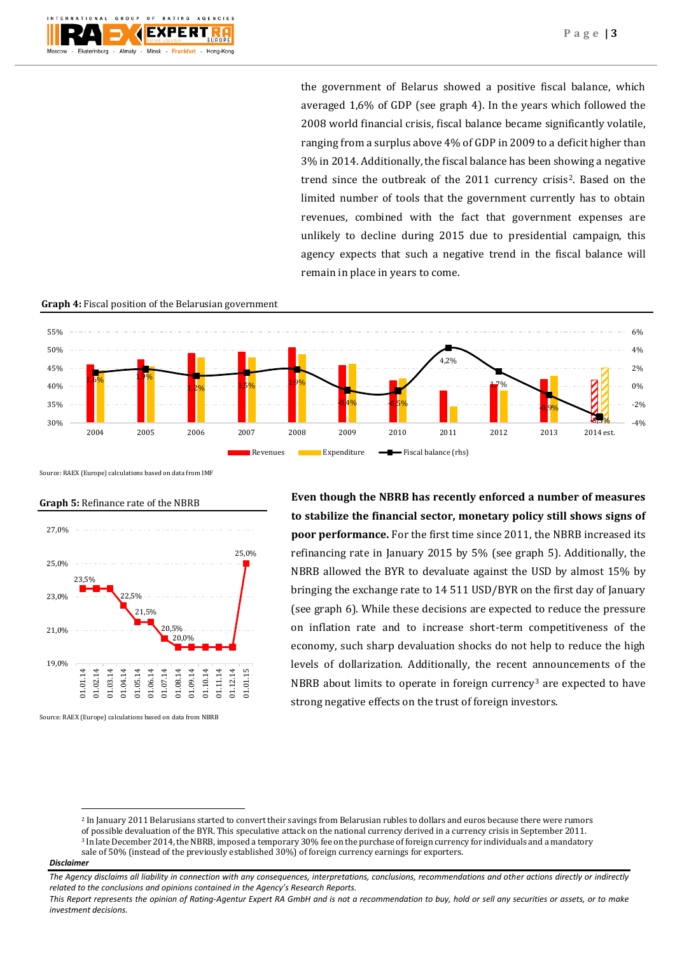the government of Belarus showed a positive fiscal balance, which averaged 1,6% of GDP (see graph 4). In the years which followed the 2008 world financial crisis, fiscal balance became significantly volatile, ranging from a surplus above 4% of GDP in 2009 to a deficit higher than 3% in 2014. Additionally, the fiscal balance has been showing a negative trend since the outbreak of the 2011 currency crisis2. Based on the limited number of tools that the government currently has to obtain revenues, combined with the fact that government expenses are unlikely to decline during 2015 due to presidential campaign, this agency expects that such a negative trend in the fiscal balance will remain in place in years to come.

# **Graph 4:** Fiscal position of the Belarusian government



Source: RAEX (Europe) calculations based on data from IMF



# **Graph 5:** Refinance rate of the NBRB

Source: RAEX (Europe) calculations based on data from NBRB

**Even though the NBRB has recently enforced a number of measures to stabilize the financial sector, monetary policy still shows signs of poor performance.** For the first time since 2011, the NBRB increased its refinancing rate in January 2015 by 5% (see graph 5). Additionally, the NBRB allowed the BYR to devaluate against the USD by almost 15% by bringing the exchange rate to 14 511 USD/BYR on the first day of January (see graph 6). While these decisions are expected to reduce the pressure on inflation rate and to increase short-term competitiveness of the economy, such sharp devaluation shocks do not help to reduce the high levels of dollarization. Additionally, the recent announcements of the NBRB about limits to operate in foreign currency<sup>3</sup> are expected to have strong negative effects on the trust of foreign investors.

## *Disclaimer*

**.** 

<sup>2</sup> In January 2011 Belarusians started to convert their savings fro[m Belarusian rubles](http://en.wikipedia.org/wiki/Belarusian_ruble) to dollars and euros because there were rumors of possible devaluation of the BYR. This speculative attack on the national currency derived in a currency crisis in September 2011. <sup>3</sup> In late December 2014, the NBRB, imposed a temporary 30% fee on the purchase of foreign currency for individuals and a mandatory sale of 50% (instead of the previously established 30%) of foreign currency earnings for exporters.

*The Agency disclaims all liability in connection with any consequences, interpretations, conclusions, recommendations and other actions directly or indirectly related to the conclusions and opinions contained in the Agency's Research Reports.*

*This Report represents the opinion of Rating-Agentur Expert RA GmbH and is not a recommendation to buy, hold or sell any securities or assets, or to make investment decisions.*